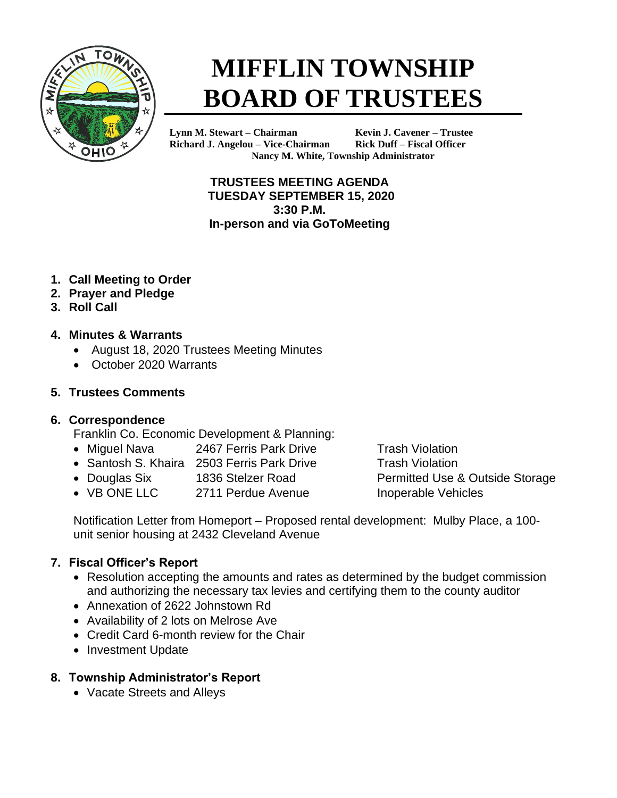

# **MIFFLIN TOWNSHIP BOARD OF TRUSTEES**

**Lynn M. Stewart – Chairman Kevin J. Cavener – Trustee Richard J. Angelou – Vice-Chairman Rick Duff – Fiscal Officer Nancy M. White, Township Administrator**

> **TRUSTEES MEETING AGENDA TUESDAY SEPTEMBER 15, 2020 3:30 P.M. In-person and via GoToMeeting**

- **1. Call Meeting to Order**
- **2. Prayer and Pledge**
- **3. Roll Call**

#### **4. Minutes & Warrants**

- August 18, 2020 Trustees Meeting Minutes
- October 2020 Warrants

#### **5. Trustees Comments**

#### **6. Correspondence**

Franklin Co. Economic Development & Planning:

- Miguel Nava 2467 Ferris Park Drive Trash Violation
- Santosh S. Khaira 2503 Ferris Park Drive Trash Violation
- Douglas Six 1836 Stelzer Road Permitted Use & Outside Storage
- VB ONE LLC 2711 Perdue Avenue Inoperable Vehicles

Notification Letter from Homeport – Proposed rental development: Mulby Place, a 100 unit senior housing at 2432 Cleveland Avenue

## **7. Fiscal Officer's Report**

- Resolution accepting the amounts and rates as determined by the budget commission and authorizing the necessary tax levies and certifying them to the county auditor
- Annexation of 2622 Johnstown Rd
- Availability of 2 lots on Melrose Ave
- Credit Card 6-month review for the Chair
- Investment Update

## **8. Township Administrator's Report**

• Vacate Streets and Alleys